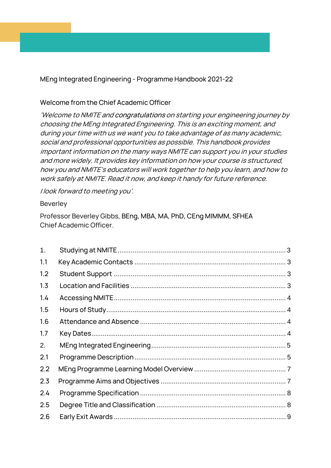MEng Integrated Engineering - Programme Handbook 2021-22

#### Welcome from the Chief Academic Officer

'Welcome to NMITE and congratulations on starting your engineering journey by choosing the MEng Integrated Engineering. This is an exciting moment, and during your time with us we want you to take advantage of as many academic, social and professional opportunities as possible. This handbook provides important information on the many ways NMITE can support you in your studies and more widely. It provides key information on how your course is structured, how you and NMITE's educators will work together to help you learn, and how to work safely at NMITE. Read it now, and keep it handy for future reference.

I look forward to meeting you'.

#### Beverley

Professor Beverley Gibbs, BEng, MBA, MA, PhD, CEng MIMMM, SFHEA Chief Academic Officer.

| 1.  |  |
|-----|--|
| 1.1 |  |
| 1.2 |  |
| 1.3 |  |
| 1.4 |  |
| 1.5 |  |
| 1.6 |  |
| 1.7 |  |
| 2.  |  |
| 2.1 |  |
| 2.2 |  |
| 2.3 |  |
| 2.4 |  |
| 2.5 |  |
| 2.6 |  |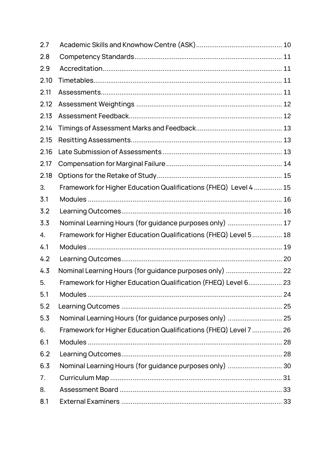| 2.7  |                                                                  |  |
|------|------------------------------------------------------------------|--|
| 2.8  |                                                                  |  |
| 2.9  |                                                                  |  |
| 2.10 |                                                                  |  |
| 2.11 |                                                                  |  |
| 2.12 |                                                                  |  |
| 2.13 |                                                                  |  |
| 2.14 |                                                                  |  |
| 2.15 |                                                                  |  |
| 2.16 |                                                                  |  |
| 2.17 |                                                                  |  |
| 2.18 |                                                                  |  |
| 3.   | Framework for Higher Education Qualifications (FHEQ) Level 4  15 |  |
| 3.1  |                                                                  |  |
| 3.2  |                                                                  |  |
| 3.3  | Nominal Learning Hours (for guidance purposes only)  17          |  |
| 4.   | Framework for Higher Education Qualifications (FHEQ) Level 5 18  |  |
| 4.1  |                                                                  |  |
| 4.2  |                                                                  |  |
| 4.3  |                                                                  |  |
| 5.   | Framework for Higher Education Qualification (FHEQ) Level 6 23   |  |
| 5.1  |                                                                  |  |
| 5.2  |                                                                  |  |
| 5.3  | Nominal Learning Hours (for guidance purposes only)  25          |  |
| 6.   | Framework for Higher Education Qualifications (FHEQ) Level 7  26 |  |
| 6.1  |                                                                  |  |
| 6.2  |                                                                  |  |
| 6.3  | Nominal Learning Hours (for guidance purposes only)  30          |  |
| 7.   |                                                                  |  |
| 8.   |                                                                  |  |
| 8.1  |                                                                  |  |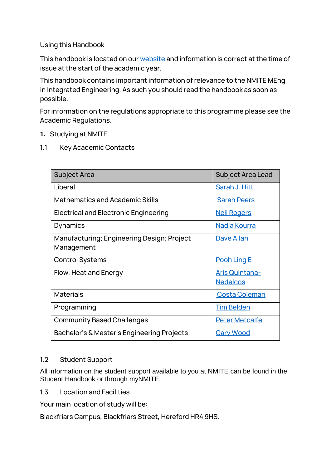Using this Handbook

This handbook is located on our [website](http://www.nmite.ac.uk/) and information is correct at the time of issue at the start of the academic year.

This handbook contains important information of relevance to the NMITE MEng in Integrated Engineering. As such you should read the handbook as soon as possible.

For information on the regulations appropriate to this programme please see the Academic Regulations.

#### <span id="page-2-0"></span>**1.** Studying at NMITE

<span id="page-2-1"></span>1.1 Key Academic Contacts

| <b>Subject Area</b>                                      | <b>Subject Area Lead</b>                 |
|----------------------------------------------------------|------------------------------------------|
| Liberal                                                  | Sarah J. Hitt                            |
| <b>Mathematics and Academic Skills</b>                   | <b>Sarah Peers</b>                       |
| Electrical and Electronic Engineering                    | <b>Neil Rogers</b>                       |
| Dynamics                                                 | Nadia Kourra                             |
| Manufacturing; Engineering Design; Project<br>Management | Dave Allan                               |
| <b>Control Systems</b>                                   | Pooh Ling E                              |
| Flow, Heat and Energy                                    | <b>Aris Quintana-</b><br><b>Nedelcos</b> |
| <b>Materials</b>                                         | <b>Costa Coleman</b>                     |
| Programming                                              | <b>Tim Belden</b>                        |
| <b>Community Based Challenges</b>                        | <b>Peter Metcalfe</b>                    |
| Bachelor's & Master's Engineering Projects               | <u>Gary Wood</u>                         |

#### <span id="page-2-2"></span>1.2 Student Support

All information on the student support available to you at NMITE can be found in the Student Handbook or through myNMITE.

<span id="page-2-3"></span>1.3 Location and Facilities

Your main location of study will be:

Blackfriars Campus, Blackfriars Street, Hereford HR4 9HS.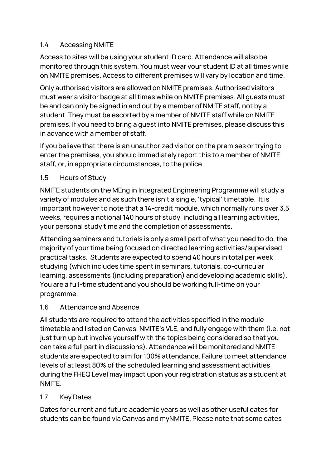# <span id="page-3-0"></span>1.4 Accessing NMITE

Access to sites will be using your student ID card. Attendance will also be monitored through this system. You must wear your student ID at all times while on NMITE premises. Access to different premises will vary by location and time.

Only authorised visitors are allowed on NMITE premises. Authorised visitors must wear a visitor badge at all times while on NMITE premises. All guests must be and can only be signed in and out by a member of NMITE staff, not by a student. They must be escorted by a member of NMITE staff while on NMITE premises. If you need to bring a guest into NMITE premises, please discuss this in advance with a member of staff.

If you believe that there is an unauthorized visitor on the premises or trying to enter the premises, you should immediately report this to a member of NMITE staff, or, in appropriate circumstances, to the police.

### <span id="page-3-1"></span>1.5 Hours of Study

NMITE students on the MEng in Integrated Engineering Programme will study a variety of modules and as such there isn't a single, 'typical' timetable. It is important however to note that a 14-credit module, which normally runs over 3.5 weeks, requires a notional 140 hours of study, including all learning activities, your personal study time and the completion of assessments.

Attending seminars and tutorials is only a small part of what you need to do, the majority of your time being focused on directed learning activities/supervised practical tasks. Students are expected to spend 40 hours in total per week studying (which includes time spent in seminars, tutorials, co-curricular learning, assessments (including preparation) and developing academic skills). You are a full-time student and you should be working full-time on your programme.

#### <span id="page-3-2"></span>1.6 Attendance and Absence

All students are required to attend the activities specified in the module timetable and listed on Canvas, NMITE's VLE, and fully engage with them (i.e. not just turn up but involve yourself with the topics being considered so that you can take a full part in discussions). Attendance will be monitored and NMITE students are expected to aim for 100% attendance. Failure to meet attendance levels of at least 80% of the scheduled learning and assessment activities during the FHEQ Level may impact upon your registration status as a student at NMITE.

# <span id="page-3-3"></span>1.7 Key Dates

Dates for current and future academic years as well as other useful dates for students can be found via Canvas and myNMITE. Please note that some dates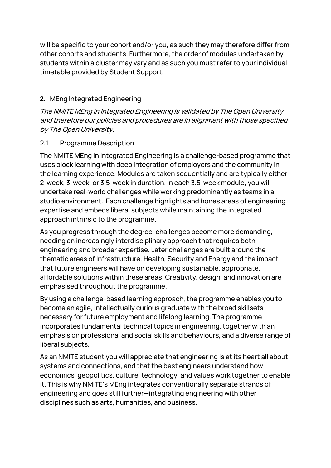will be specific to your cohort and/or you, as such they may therefore differ from other cohorts and students. Furthermore, the order of modules undertaken by students within a cluster may vary and as such you must refer to your individual timetable provided by Student Support.

### <span id="page-4-0"></span>**2.** MEng Integrated Engineering

The NMITE MEng in Integrated Engineering is validated by The Open University and therefore our policies and procedures are in alignment with those specified by The Open University.

### <span id="page-4-1"></span>2.1 Programme Description

The NMITE MEng in Integrated Engineering is a challenge-based programme that uses block learning with deep integration of employers and the community in the learning experience. Modules are taken sequentially and are typically either 2-week, 3-week, or 3.5-week in duration. In each 3.5-week module, you will undertake real-world challenges while working predominantly as teams in a studio environment. Each challenge highlights and hones areas of engineering expertise and embeds liberal subjects while maintaining the integrated approach intrinsic to the programme.

As you progress through the degree, challenges become more demanding, needing an increasingly interdisciplinary approach that requires both engineering and broader expertise. Later challenges are built around the thematic areas of Infrastructure, Health, Security and Energy and the impact that future engineers will have on developing sustainable, appropriate, affordable solutions within these areas. Creativity, design, and innovation are emphasised throughout the programme.

By using a challenge-based learning approach, the programme enables you to become an agile, intellectually curious graduate with the broad skillsets necessary for future employment and lifelong learning. The programme incorporates fundamental technical topics in engineering, together with an emphasis on professional and social skills and behaviours, and a diverse range of liberal subjects.

As an NMITE student you will appreciate that engineering is at its heart all about systems and connections, and that the best engineers understand how economics, geopolitics, culture, technology, and values work together to enable it. This is why NMITE's MEng integrates conventionally separate strands of engineering and goes still further—integrating engineering with other disciplines such as arts, humanities, and business.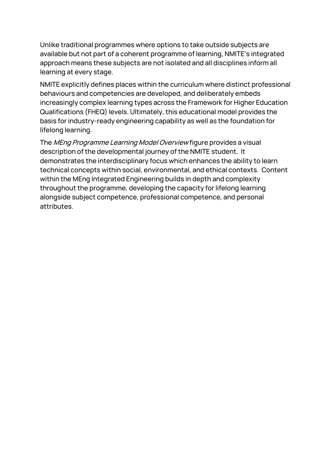Unlike traditional programmes where options to take outside subjects are available but not part of a coherent programme of learning, NMITE's integrated approach means these subjects are not isolated and all disciplines inform all learning at every stage.

NMITE explicitly defines places within the curriculum where distinct professional behaviours and competencies are developed, and deliberately embeds increasingly complex learning types across the Framework for Higher Education Qualifications (FHEQ) levels. Ultimately, this educational model provides the basis for industry-ready engineering capability as well as the foundation for lifelong learning.

The MEng Programme Learning Model Overview figure provides a visual description of the developmental journey of the NMITE student. It demonstrates the interdisciplinary focus which enhances the ability to learn technical concepts within social, environmental, and ethical contexts. Content within the MEng Integrated Engineering builds in depth and complexity throughout the programme, developing the capacity for lifelong learning alongside subject competence, professional competence, and personal attributes.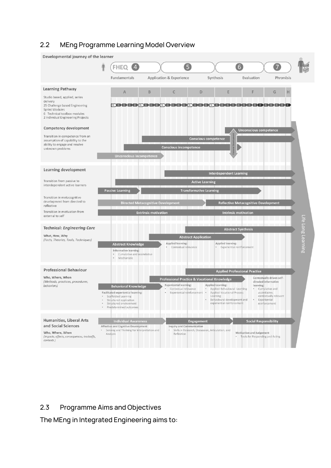### <span id="page-6-0"></span>2.2 MEng Programme Learning Model Overview



#### <span id="page-6-1"></span>2.3 Programme Aims and Objectives

The MEng in Integrated Engineering aims to: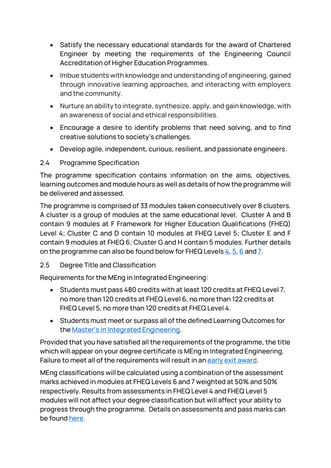- Satisfy the necessary educational standards for the award of Chartered Engineer by meeting the requirements of the Engineering Council Accreditation of Higher Education Programmes.
- Imbue students with knowledge and understanding of engineering, gained through innovative learning approaches, and interacting with employers and the community.
- Nurture an ability to integrate, synthesize, apply, and gain knowledge, with an awareness of social and ethical responsibilities.
- Encourage a desire to identify problems that need solving, and to find creative solutions to society's challenges.
- Develop agile, independent, curious, resilient, and passionate engineers.

### <span id="page-7-0"></span>2.4 Programme Specification

The programme specification contains information on the aims, objectives, learning outcomes and module hours as well as details of how the programme will be delivered and assessed.

The programme is comprised of 33 modules taken consecutively over 8 clusters. A cluster is a group of modules at the same educational level. Cluster A and B contain 9 modules at F Framework for Higher Education Qualifications (FHEQ) Level 4; Cluster C and D contain 10 modules at FHEQ Level 5; Cluster E and F contain 9 modules at FHEQ 6; Cluster G and H contain 5 modules. Further details on the programme can also be found below for FHEQ Levels  $\frac{4}{9}$ ,  $\frac{5}{9}$ ,  $\frac{6}{9}$  and  $\frac{7}{9}$ .

# <span id="page-7-1"></span>2.5 Degree Title and Classification

Requirements for the MEng in Integrated Engineering:

- Students must pass 480 credits with at least 120 credits at FHEQ Level 7, no more than 120 credits at FHEQ Level 6, no more than 122 credits at FHEQ Level 5, no more than 120 credits at FHEQ Level 4.
- Students must meet or surpass all of the defined Learning Outcomes for the [Master's in Integrated Engineering](#page-27-1).

Provided that you have satisfied all the requirements of the programme, the title which will appear on your degree certificate is MEng in Integrated Engineering. Failure to meet all of the requirements will result in a[n early exit award.](#page-8-1)

MEng classifications will be calculated using a combination of the assessment marks achieved in modules at FHEQ Levels 6 and 7 weighted at 50% and 50% respectively. Results from assessments in FHEQ Level 4 and FHEQ Level 5 modules will not affect your degree classification but will affect your ability to progress through the programme. Details on assessments and pass marks can be found [here.](#page-10-3)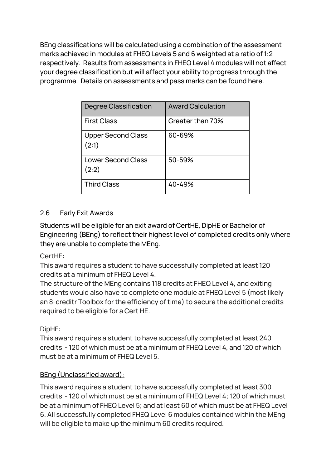BEng classifications will be calculated using a combination of the assessment marks achieved in modules at FHEQ Levels 5 and 6 weighted at a ratio of 1:2 respectively. Results from assessments in FHEQ Level 4 modules will not affect your degree classification but will affect your ability to progress through the programme. Details on assessments and pass marks can be found here.

| Degree Classification              | <b>Award Calculation</b> |
|------------------------------------|--------------------------|
| <b>First Class</b>                 | Greater than 70%         |
| <b>Upper Second Class</b><br>(2:1) | 60-69%                   |
| <b>Lower Second Class</b><br>(2:2) | 50-59%                   |
| <b>Third Class</b>                 | 40-49%                   |

# <span id="page-8-1"></span><span id="page-8-0"></span>2.6 Early Exit Awards

Students will be eligible for an exit award of CertHE, DipHE or Bachelor of Engineering (BEng) to reflect their highest level of completed credits only where they are unable to complete the MEng.

#### CertHE:

This award requires a student to have successfully completed at least 120 credits at a minimum of FHEQ Level 4.

The structure of the MEng contains 118 credits at FHEQ Level 4, and exiting students would also have to complete one module at FHEQ Level 5 (most likely an 8-creditr Toolbox for the efficiency of time) to secure the additional credits required to be eligible for a Cert HE.

# DipHE:

This award requires a student to have successfully completed at least 240 credits - 120 of which must be at a minimum of FHEQ Level 4, and 120 of which must be at a minimum of FHEQ Level 5.

# BEng (Unclassified award):

This award requires a student to have successfully completed at least 300 credits - 120 of which must be at a minimum of FHEQ Level 4; 120 of which must be at a minimum of FHEQ Level 5; and at least 60 of which must be at FHEQ Level 6. All successfully completed FHEQ Level 6 modules contained within the MEng will be eligible to make up the minimum 60 credits required.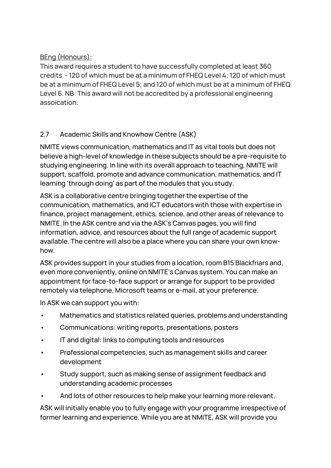# BEng (Honours):

This award requires a student to have successfully completed at least 360 credits - 120 of which must be at a minimum of FHEQ Level 4; 120 of which must be at a minimum of FHEQ Level 5; and 120 of which must be at a minimum of FHEQ Level 6. NB: This award will not be accredited by a professional engineering assoication.

# <span id="page-9-0"></span>2.7 Academic Skills and Knowhow Centre (ASK)

NMITE views communication, mathematics and IT as vital tools but does not believe a high-level of knowledge in these subjects should be a pre-requisite to studying engineering. In line with its overall approach to teaching, NMITE will support, scaffold, promote and advance communication, mathematics, and IT learning 'through doing' as part of the modules that you study.

ASK is a collaborative centre bringing together the expertise of the communication, mathematics, and ICT educators with those with expertise in finance, project management, ethics, science, and other areas of relevance to NMITE. In the ASK centre and via the ASK's Canvas pages, you will find information, advice, and resources about the full range of academic support available. The centre will also be a place where you can share your own knowhow.

ASK provides support in your studies from a location, room B15 Blackfriars and, even more conveniently, online on NMITE's Canvas system. You can make an appointment for face-to-face support or arrange for support to be provided remotely via telephone, Microsoft teams or e-mail, at your preference.

In ASK we can support you with:

- Mathematics and statistics related queries, problems and understanding
- Communications: writing reports, presentations, posters
- IT and digital: links to computing tools and resources
- Professional competencies, such as management skills and career development
- Study support, such as making sense of assignment feedback and understanding academic processes
- And lots of other resources to help make your learning more relevant.

ASK will initially enable you to fully engage with your programme irrespective of former learning and experience. While you are at NMITE, ASK will provide you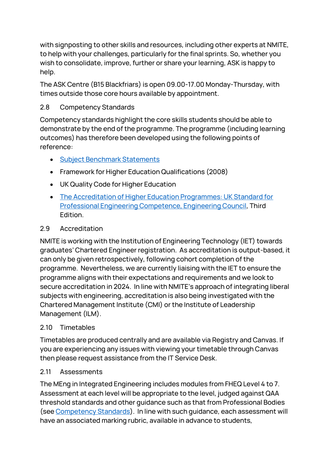with signposting to other skills and resources, including other experts at NMITE, to help with your challenges, particularly for the final sprints. So, whether you wish to consolidate, improve, further or share your learning, ASK is happy to help.

The ASK Centre (B15 Blackfriars) is open 09.00-17.00 Monday-Thursday, with times outside those core hours available by appointment.

# <span id="page-10-0"></span>2.8 Competency Standards

Competency standards highlight the core skills students should be able to demonstrate by the end of the programme. The programme (including learning outcomes) has therefore been developed using the following points of reference:

- [Subject Benchmark Statements](https://www.qaa.ac.uk/quality-code/subject-benchmark-statements)
- Framework for Higher Education Qualifications (2008)
- UK Quality Code for Higher Education
- The Accreditation [of Higher Education Programmes: UK Standard for](http://www.engc.org.uk/)  [Professional Engineering Competence, Engineering Council,](http://www.engc.org.uk/) Third Edition.

# <span id="page-10-1"></span>2.9 Accreditation

NMITE is working with the Institution of Engineering Technology (IET) towards graduates' Chartered Engineer registration. As accreditation is output-based, it can only be given retrospectively, following cohort completion of the programme. Nevertheless, we are currently liaising with the IET to ensure the programme aligns with their expectations and requirements and we look to secure accreditation in 2024. In line with NMITE's approach of integrating liberal subjects with engineering, accreditation is also being investigated with the Chartered Management Institute (CMI) or the Institute of Leadership Management (ILM).

# <span id="page-10-2"></span>2.10 Timetables

Timetables are produced centrally and are available via Registry and Canvas. If you are experiencing any issues with viewing your timetable through Canvas then please request assistance from the IT Service Desk.

# <span id="page-10-3"></span>2.11 Assessments

The MEng in Integrated Engineering includes modules from FHEQ Level 4 to 7. Assessment at each level will be appropriate to the level, judged against QAA threshold standards and other guidance such as that from Professional Bodies (see Competency Standards). In line with such guidance, each assessment will have an associated marking rubric, available in advance to students,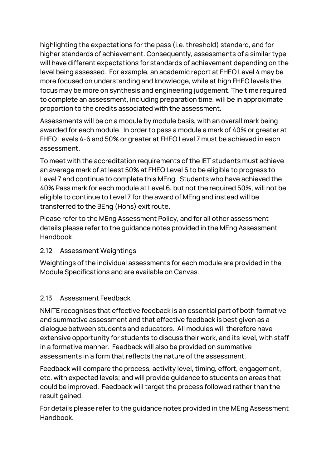highlighting the expectations for the pass (i.e. threshold) standard, and for higher standards of achievement. Consequently, assessments of a similar type will have different expectations for standards of achievement depending on the level being assessed. For example, an academic report at FHEQ Level 4 may be more focused on understanding and knowledge, while at high FHEQ levels the focus may be more on synthesis and engineering judgement. The time required to complete an assessment, including preparation time, will be in approximate proportion to the credits associated with the assessment.

Assessments will be on a module by module basis, with an overall mark being awarded for each module. In order to pass a module a mark of 40% or greater at FHEQ Levels 4-6 and 50% or greater at FHEQ Level 7 must be achieved in each assessment.

To meet with the accreditation requirements of the IET students must achieve an average mark of at least 50% at FHEQ Level 6 to be eligible to progress to Level 7 and continue to complete this MEng. Students who have achieved the 40% Pass mark for each module at Level 6, but not the required 50%, will not be eligible to continue to Level 7 for the award of MEng and instead will be transferred to the BEng (Hons) exit route.

Please refer to the MEng Assessment Policy, and for all other assessment details please refer to the guidance notes provided in the MEng Assessment Handbook.

#### <span id="page-11-0"></span>2.12 Assessment Weightings

Weightings of the individual assessments for each module are provided in the Module Specifications and are available on Canvas.

# <span id="page-11-1"></span>2.13 Assessment Feedback

NMITE recognises that effective feedback is an essential part of both formative and summative assessment and that effective feedback is best given as a dialogue between students and educators. All modules will therefore have extensive opportunity for students to discuss their work, and its level, with staff in a formative manner. Feedback will also be provided on summative assessments in a form that reflects the nature of the assessment.

Feedback will compare the process, activity level, timing, effort, engagement, etc. with expected levels; and will provide guidance to students on areas that could be improved. Feedback will target the process followed rather than the result gained.

For details please refer to the guidance notes provided in the MEng Assessment Handbook.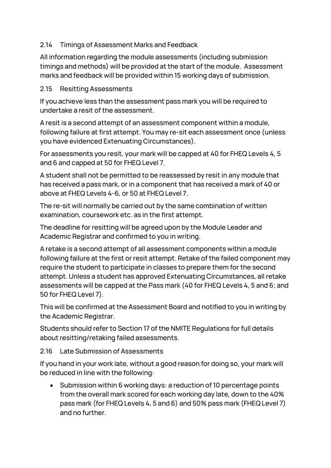### <span id="page-12-0"></span>2.14 Timings of Assessment Marks and Feedback

All information regarding the module assessments (including submission timings and methods) will be provided at the start of the module. Assessment marks and feedback will be provided within 15 working days of submission.

#### <span id="page-12-1"></span>2.15 Resitting Assessments

If you achieve less than the assessment pass mark you will be required to undertake a resit of the assessment.

A resit is a second attempt of an assessment component within a module, following failure at first attempt. You may re-sit each assessment once (unless you have evidenced Extenuating Circumstances).

For assessments you resit, your mark will be capped at 40 for FHEQ Levels 4, 5 and 6 and capped at 50 for FHEQ Level 7.

A student shall not be permitted to be reassessed by resit in any module that has received a pass mark, or in a component that has received a mark of 40 or above at FHEQ Levels 4-6, or 50 at FHEQ Level 7.

The re-sit will normally be carried out by the same combination of written examination, coursework etc. as in the first attempt.

The deadline for resitting will be agreed upon by the Module Leader and Academic Registrar and confirmed to you in writing.

A retake is a second attempt of all assessment components within a module following failure at the first or resit attempt. Retake of the failed component may require the student to participate in classes to prepare them for the second attempt. Unless a student has approved Extenuating Circumstances, all retake assessments will be capped at the Pass mark (40 for FHEQ Levels 4, 5 and 6; and 50 for FHEQ Level 7).

This will be confirmed at the Assessment Board and notified to you in writing by the Academic Registrar.

Students should refer to Section 17 of the NMITE Regulations for full details about resitting/retaking failed assessments.

<span id="page-12-2"></span>2.16 Late Submission of Assessments

If you hand in your work late, without a good reason for doing so, your mark will be reduced in line with the following:

• Submission within 6 working days: a reduction of 10 percentage points from the overall mark scored for each working day late, down to the 40% pass mark (for FHEQ Levels 4, 5 and 6) and 50% pass mark (FHEQ Level 7) and no further.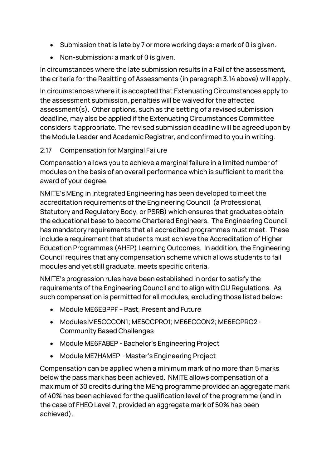- Submission that is late by 7 or more working days: a mark of 0 is given.
- Non-submission: a mark of 0 is given.

In circumstances where the late submission results in a Fail of the assessment, the criteria for the Resitting of Assessments (in paragraph 3.14 above) will apply.

In circumstances where it is accepted that Extenuating Circumstances apply to the assessment submission, penalties will be waived for the affected assessment(s). Other options, such as the setting of a revised submission deadline, may also be applied if the Extenuating Circumstances Committee considers it appropriate. The revised submission deadline will be agreed upon by the Module Leader and Academic Registrar, and confirmed to you in writing.

### <span id="page-13-0"></span>2.17 Compensation for Marginal Failure

Compensation allows you to achieve a marginal failure in a limited number of modules on the basis of an overall performance which is sufficient to merit the award of your degree.

NMITE's MEng in Integrated Engineering has been developed to meet the accreditation requirements of the Engineering Council (a Professional, Statutory and Regulatory Body, or PSRB) which ensures that graduates obtain the educational base to become Chartered Engineers. The Engineering Council has mandatory requirements that all accredited programmes must meet. These include a requirement that students must achieve the Accreditation of Higher Education Programmes (AHEP) Learning Outcomes. In addition, the Engineering Council requires that any compensation scheme which allows students to fail modules and yet still graduate, meets specific criteria.

NMITE's progression rules have been established in order to satisfy the requirements of the Engineering Council and to align with OU Regulations. As such compensation is permitted for all modules, excluding those listed below:

- Module ME6EBPPF Past, Present and Future
- Modules ME5CCCON1; ME5CCPRO1; ME6ECCON2; ME6ECPRO2 Community Based Challenges
- Module ME6FABEP Bachelor's Engineering Project
- Module ME7HAMEP Master's Engineering Project

Compensation can be applied when a minimum mark of no more than 5 marks below the pass mark has been achieved. NMITE allows compensation of a maximum of 30 credits during the MEng programme provided an aggregate mark of 40% has been achieved for the qualification level of the programme (and in the case of FHEQ Level 7, provided an aggregate mark of 50% has been achieved).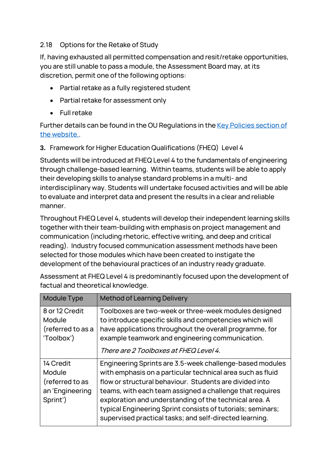### <span id="page-14-0"></span>2.18 Options for the Retake of Study

If, having exhausted all permitted compensation and resit/retake opportunities, you are still unable to pass a module, the Assessment Board may, at its discretion, permit one of the following options:

- Partial retake as a fully registered student
- Partial retake for assessment only
- Full retake

Further details can be found in the OU Regulations in the [Key Policies section of](https://nmite.ac.uk/key-policies)  [the website..](https://nmite.ac.uk/key-policies)

### <span id="page-14-1"></span>**3.** Framework for Higher Education Qualifications (FHEQ) Level 4

Students will be introduced at FHEQ Level 4 to the fundamentals of engineering through challenge-based learning. Within teams, students will be able to apply their developing skills to analyse standard problems in a multi- and interdisciplinary way. Students will undertake focused activities and will be able to evaluate and interpret data and present the results in a clear and reliable manner.

Throughout FHEQ Level 4, students will develop their independent learning skills together with their team-building with emphasis on project management and communication (including rhetoric, effective writing, and deep and critical reading). Industry focused communication assessment methods have been selected for those modules which have been created to instigate the development of the behavioural practices of an industry ready graduate.

factual and theoretical knowledge. Module Type  $\parallel$  Method of Learning Delivery 8 or 12 Credit Module Toolboxes are two-week or three-week modules designed  $\mid$  to introduce specific skills and competencies which will

Assessment at FHEQ Level 4 is predominantly focused upon the development of

| (referred to as a<br>'Toolbox')                                       | have applications throughout the overall programme, for<br>example teamwork and engineering communication.<br>There are 2 Toolboxes at FHEQ Level 4.                                                                                                                                                                                                                                                                              |
|-----------------------------------------------------------------------|-----------------------------------------------------------------------------------------------------------------------------------------------------------------------------------------------------------------------------------------------------------------------------------------------------------------------------------------------------------------------------------------------------------------------------------|
| 14 Credit<br>Module<br>(referred to as<br>an 'Engineering<br>Sprint') | Engineering Sprints are 3.5-week challenge-based modules<br>with emphasis on a particular technical area such as fluid<br>flow or structural behaviour. Students are divided into<br>teams, with each team assigned a challenge that requires<br>exploration and understanding of the technical area. A<br>typical Engineering Sprint consists of tutorials; seminars;<br>supervised practical tasks; and self-directed learning. |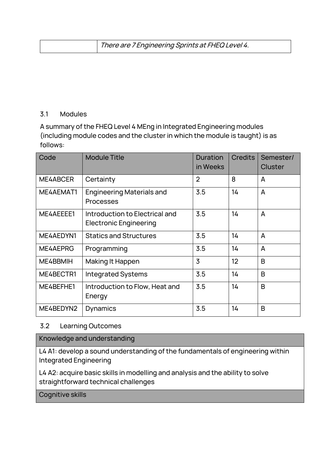| There are 7 Engineering Sprints at FHEQ Level 4. |  |
|--------------------------------------------------|--|
|--------------------------------------------------|--|

#### <span id="page-15-0"></span>3.1 Modules

A summary of the FHEQ Level 4 MEng in Integrated Engineering modules (including module codes and the cluster in which the module is taught) is as follows:

| Code      | <b>Module Title</b>                                             | <b>Duration</b><br>in Weeks | <b>Credits</b> | Semester/<br><b>Cluster</b> |
|-----------|-----------------------------------------------------------------|-----------------------------|----------------|-----------------------------|
| ME4ABCER  | Certainty                                                       | $\overline{2}$              | 8              | A                           |
| ME4AEMAT1 | <b>Engineering Materials and</b><br>Processes                   | 3.5                         | 14             | A                           |
| ME4AEEEE1 | Introduction to Electrical and<br><b>Electronic Engineering</b> | 3.5                         | 14             | A                           |
| ME4AEDYN1 | <b>Statics and Structures</b>                                   | 3.5                         | 14             | A                           |
| ME4AEPRG  | Programming                                                     | 3.5                         | 14             | A                           |
| ME4BBMIH  | Making It Happen                                                | 3                           | 12             | B                           |
| ME4BECTR1 | <b>Integrated Systems</b>                                       | 3.5                         | 14             | B                           |
| ME4BEFHE1 | Introduction to Flow, Heat and<br>Energy                        | 3.5                         | 14             | B                           |
| ME4BEDYN2 | Dynamics                                                        | 3.5                         | 14             | B                           |

#### <span id="page-15-1"></span>3.2 Learning Outcomes

Knowledge and understanding

L4 A1: develop a sound understanding of the fundamentals of engineering within Integrated Engineering

L4 A2: acquire basic skills in modelling and analysis and the ability to solve straightforward technical challenges

Cognitive skills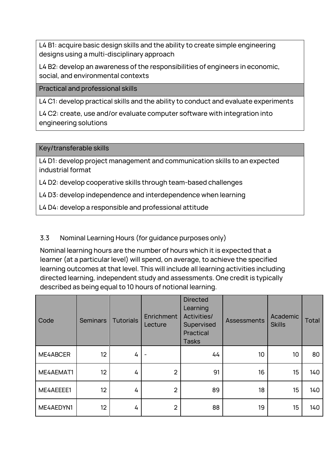L4 B1: acquire basic design skills and the ability to create simple engineering designs using a multi-disciplinary approach

L4 B2: develop an awareness of the responsibilities of engineers in economic, social, and environmental contexts

Practical and professional skills

L4 C1: develop practical skills and the ability to conduct and evaluate experiments

L4 C2: create, use and/or evaluate computer software with integration into engineering solutions

Key/transferable skills

L4 D1: develop project management and communication skills to an expected industrial format

L4 D2: develop cooperative skills through team-based challenges

L4 D3: develop independence and interdependence when learning

L4 D4: develop a responsible and professional attitude

#### <span id="page-16-0"></span>3.3 Nominal Learning Hours (for guidance purposes only)

Nominal learning hours are the number of hours which it is expected that a learner (at a particular level) will spend, on average, to achieve the specified learning outcomes at that level. This will include all learning activities including directed learning, independent study and assessments. One credit is typically described as being equal to 10 hours of notional learning.

| Code      | <b>Seminars</b> | <b>Tutorials</b> | Enrichment<br>Lecture | <b>Directed</b><br>Learning<br>Activities/<br>Supervised<br>Practical<br><b>Tasks</b> | <b>Assessments</b> | Academic<br><b>Skills</b> | <b>Total</b> |
|-----------|-----------------|------------------|-----------------------|---------------------------------------------------------------------------------------|--------------------|---------------------------|--------------|
| ME4ABCER  | 12              | 4                |                       | 44                                                                                    | 10                 | 10 <sup>°</sup>           | 80           |
| ME4AEMAT1 | 12              | 4                | $\overline{2}$        | 91                                                                                    | 16                 | 15                        | 140          |
| ME4AEEEE1 | 12 <sup>°</sup> | 4                | $\overline{2}$        | 89                                                                                    | 18                 | 15                        | 140          |
| ME4AEDYN1 | 12 <sup>°</sup> | 4                | $\overline{2}$        | 88                                                                                    | 19                 | 15                        | 140          |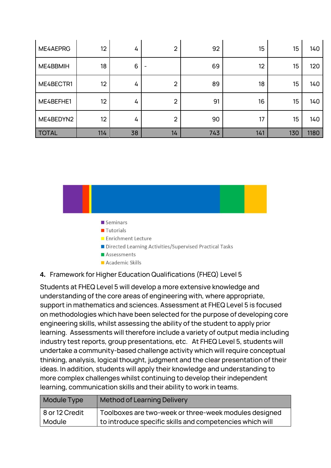| ME4AEPRG     | 12  | 4  | $\overline{2}$ | 92  | 15  | 15  | 140  |
|--------------|-----|----|----------------|-----|-----|-----|------|
| ME4BBMIH     | 18  | 6  |                | 69  | 12  | 15  | 120  |
| ME4BECTR1    | 12  | 4  | $\overline{2}$ | 89  | 18  | 15  | 140  |
| ME4BEFHE1    | 12  | 4  | $\overline{2}$ | 91  | 16  | 15  | 140  |
| ME4BEDYN2    | 12  | 4  | $\overline{2}$ | 90  | 17  | 15  | 140  |
| <b>TOTAL</b> | 114 | 38 | 14             | 743 | 141 | 130 | 1180 |



- $\blacksquare$  Seminars
- **Tutorials**
- **Enrichment Lecture**
- Directed Learning Activities/Supervised Practical Tasks
- Assessments
- Academic Skills

#### <span id="page-17-0"></span>**4.** Framework for Higher Education Qualifications (FHEQ) Level 5

Students at FHEQ Level 5 will develop a more extensive knowledge and understanding of the core areas of engineering with, where appropriate, support in mathematics and sciences. Assessment at FHEQ Level 5 is focused on methodologies which have been selected for the purpose of developing core engineering skills, whilst assessing the ability of the student to apply prior learning. Assessments will therefore include a variety of output media including industry test reports, group presentations, etc. At FHEQ Level 5, students will undertake a community-based challenge activity which will require conceptual thinking, analysis, logical thought, judgment and the clear presentation of their ideas. In addition, students will apply their knowledge and understanding to more complex challenges whilst continuing to develop their independent learning, communication skills and their ability to work in teams.

| Module Type    | <b>Method of Learning Delivery</b>                       |
|----------------|----------------------------------------------------------|
| 8 or 12 Credit | Toolboxes are two-week or three-week modules designed    |
| Module         | to introduce specific skills and competencies which will |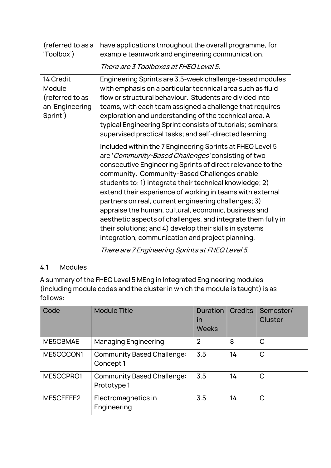| (referred to as a<br>'Toolbox')                                       | have applications throughout the overall programme, for<br>example teamwork and engineering communication.<br>There are 3 Toolboxes at FHEQ Level 5.                                                                                                                                                                                                                                                                                                                                                                                                                                                                                                                                                     |
|-----------------------------------------------------------------------|----------------------------------------------------------------------------------------------------------------------------------------------------------------------------------------------------------------------------------------------------------------------------------------------------------------------------------------------------------------------------------------------------------------------------------------------------------------------------------------------------------------------------------------------------------------------------------------------------------------------------------------------------------------------------------------------------------|
| 14 Credit<br>Module<br>(referred to as<br>an 'Engineering<br>Sprint') | Engineering Sprints are 3.5-week challenge-based modules<br>with emphasis on a particular technical area such as fluid<br>flow or structural behaviour. Students are divided into<br>teams, with each team assigned a challenge that requires<br>exploration and understanding of the technical area. A<br>typical Engineering Sprint consists of tutorials; seminars;<br>supervised practical tasks; and self-directed learning.                                                                                                                                                                                                                                                                        |
|                                                                       | Included within the 7 Engineering Sprints at FHEQ Level 5<br>are 'Community-Based Challenges' consisting of two<br>consecutive Engineering Sprints of direct relevance to the<br>community. Community-Based Challenges enable<br>students to: 1) integrate their technical knowledge; 2)<br>extend their experience of working in teams with external<br>partners on real, current engineering challenges; 3)<br>appraise the human, cultural, economic, business and<br>aesthetic aspects of challenges, and integrate them fully in<br>their solutions; and 4) develop their skills in systems<br>integration, communication and project planning.<br>There are 7 Engineering Sprints at FHEQ Level 5. |

# <span id="page-18-0"></span>4.1 Modules

A summary of the FHEQ Level 5 MEng in Integrated Engineering modules (including module codes and the cluster in which the module is taught) is as follows:

| Code      | <b>Module Title</b>                              | Duration<br>in<br><b>Weeks</b> | <b>Credits</b> | Semester/<br><b>Cluster</b> |
|-----------|--------------------------------------------------|--------------------------------|----------------|-----------------------------|
| ME5CBMAE  | <b>Managing Engineering</b>                      | $\overline{2}$                 | 8              | $\mathsf{C}$                |
| ME5CCCON1 | <b>Community Based Challenge:</b><br>Concept 1   | 3.5                            | 14             | $\mathsf{C}$                |
| ME5CCPRO1 | <b>Community Based Challenge:</b><br>Prototype 1 | 3.5                            | 14             | $\mathsf{C}$                |
| ME5CEEEE2 | Electromagnetics in<br>Engineering               | 3.5                            | 14             | $\mathsf{C}$                |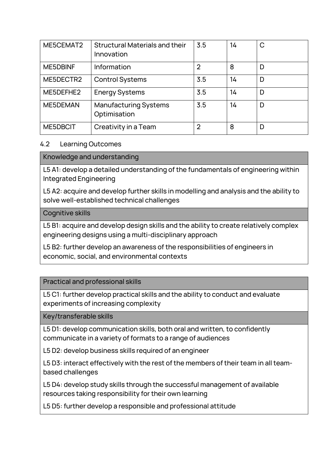| ME5CEMAT2       | <b>Structural Materials and their</b><br>Innovation | 3.5            | 14 | C |
|-----------------|-----------------------------------------------------|----------------|----|---|
| <b>ME5DBINF</b> | Information                                         | $\overline{2}$ | 8  | D |
| ME5DECTR2       | <b>Control Systems</b>                              | 3.5            | 14 | D |
| ME5DEFHE2       | <b>Energy Systems</b>                               | 3.5            | 14 | D |
| ME5DEMAN        | <b>Manufacturing Systems</b><br>Optimisation        | 3.5            | 14 | D |
| ME5DBCIT        | Creativity in a Team                                | $\overline{2}$ | 8  | D |

#### <span id="page-19-0"></span>4.2 Learning Outcomes

#### Knowledge and understanding

L5 A1: develop a detailed understanding of the fundamentals of engineering within Integrated Engineering

L5 A2: acquire and develop further skills in modelling and analysis and the ability to solve well-established technical challenges

#### Cognitive skills

L5 B1: acquire and develop design skills and the ability to create relatively complex engineering designs using a multi-disciplinary approach

L5 B2: further develop an awareness of the responsibilities of engineers in economic, social, and environmental contexts

Practical and professional skills

L5 C1: further develop practical skills and the ability to conduct and evaluate experiments of increasing complexity

Key/transferable skills

L5 D1: develop communication skills, both oral and written, to confidently communicate in a variety of formats to a range of audiences

L5 D2: develop business skills required of an engineer

L5 D3: interact effectively with the rest of the members of their team in all teambased challenges

L5 D4: develop study skills through the successful management of available resources taking responsibility for their own learning

L5 D5: further develop a responsible and professional attitude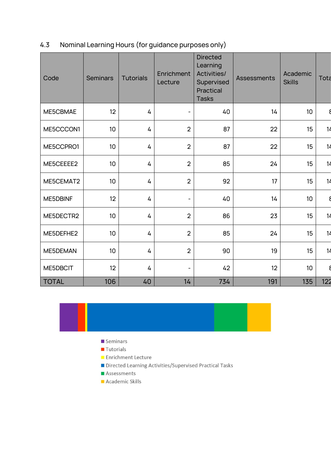# <span id="page-21-0"></span>4.3 Nominal Learning Hours (for guidance purposes only)

| Code         | <b>Seminars</b> | <b>Tutorials</b> | Enrichment<br>Lecture | <b>Directed</b><br>Learning<br>Activities/<br>Supervised<br>Practical<br><b>Tasks</b> | <b>Assessments</b> | Academic<br><b>Skills</b> | Tota |
|--------------|-----------------|------------------|-----------------------|---------------------------------------------------------------------------------------|--------------------|---------------------------|------|
| ME5CBMAE     | 12              | 4                |                       | 40                                                                                    | 14                 | 10                        |      |
| ME5CCCON1    | 10              | 4                | $\overline{2}$        | 87                                                                                    | 22                 | 15                        | 14   |
| ME5CCPRO1    | 10 <sup>1</sup> | 4                | $\overline{2}$        | 87                                                                                    | 22                 | 15                        | 14   |
| ME5CEEEE2    | 10              | 4                | $\overline{2}$        | 85                                                                                    | 24                 | 15                        | 14   |
| ME5CEMAT2    | 10              | 4                | $\overline{2}$        | 92                                                                                    | 17                 | 15                        | 14   |
| ME5DBINF     | 12              | 4                | $\qquad \qquad -$     | 40                                                                                    | 14                 | 10                        |      |
| ME5DECTR2    | 10              | 4                | $\overline{2}$        | 86                                                                                    | 23                 | 15                        | 14   |
| ME5DEFHE2    | 10              | 4                | $\overline{2}$        | 85                                                                                    | 24                 | 15                        | 14   |
| ME5DEMAN     | 10              | 4                | $\overline{2}$        | 90                                                                                    | 19                 | 15                        | 14   |
| ME5DBCIT     | 12              | 4                |                       | 42                                                                                    | 12                 | 10                        |      |
| <b>TOTAL</b> | 106             | 40               | 14                    | 734                                                                                   | 191                | 135                       | 122  |



- $\blacksquare$  Seminars
- Tutorials
- Enrichment Lecture
- Directed Learning Activities/Supervised Practical Tasks
- Assessments
- Academic Skills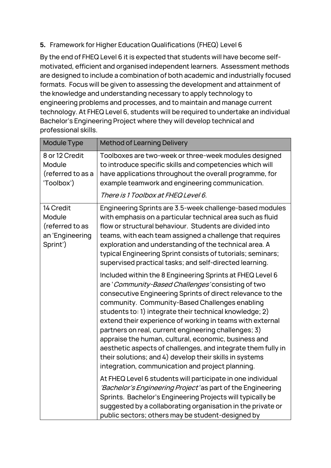# <span id="page-22-0"></span>**5.** Framework for Higher Education Qualifications (FHEQ) Level 6

By the end of FHEQ Level 6 it is expected that students will have become selfmotivated, efficient and organised independent learners. Assessment methods are designed to include a combination of both academic and industrially focused formats. Focus will be given to assessing the development and attainment of the knowledge and understanding necessary to apply technology to engineering problems and processes, and to maintain and manage current technology. At FHEQ Level 6, students will be required to undertake an individual Bachelor's Engineering Project where they will develop technical and professional skills.

| <b>Module Type</b>                                                    | <b>Method of Learning Delivery</b>                                                                                                                                                                                                                                                                                                                                                                                                                                                                                                                                                                                                                     |
|-----------------------------------------------------------------------|--------------------------------------------------------------------------------------------------------------------------------------------------------------------------------------------------------------------------------------------------------------------------------------------------------------------------------------------------------------------------------------------------------------------------------------------------------------------------------------------------------------------------------------------------------------------------------------------------------------------------------------------------------|
| 8 or 12 Credit<br>Module<br>(referred to as a<br>'Toolbox')           | Toolboxes are two-week or three-week modules designed<br>to introduce specific skills and competencies which will<br>have applications throughout the overall programme, for<br>example teamwork and engineering communication.                                                                                                                                                                                                                                                                                                                                                                                                                        |
|                                                                       | There is 1 Toolbox at FHEQ Level 6.                                                                                                                                                                                                                                                                                                                                                                                                                                                                                                                                                                                                                    |
| 14 Credit<br>Module<br>(referred to as<br>an 'Engineering<br>Sprint') | Engineering Sprints are 3.5-week challenge-based modules<br>with emphasis on a particular technical area such as fluid<br>flow or structural behaviour. Students are divided into<br>teams, with each team assigned a challenge that requires<br>exploration and understanding of the technical area. A<br>typical Engineering Sprint consists of tutorials; seminars;<br>supervised practical tasks; and self-directed learning.                                                                                                                                                                                                                      |
|                                                                       | Included within the 8 Engineering Sprints at FHEQ Level 6<br>are 'Community-Based Challenges' consisting of two<br>consecutive Engineering Sprints of direct relevance to the<br>community. Community-Based Challenges enabling<br>students to: 1) integrate their technical knowledge; 2)<br>extend their experience of working in teams with external<br>partners on real, current engineering challenges; 3)<br>appraise the human, cultural, economic, business and<br>aesthetic aspects of challenges, and integrate them fully in<br>their solutions; and 4) develop their skills in systems<br>integration, communication and project planning. |
|                                                                       | At FHEQ Level 6 students will participate in one individual<br>'Bachelor's Engineering Project' as part of the Engineering<br>Sprints. Bachelor's Engineering Projects will typically be<br>suggested by a collaborating organisation in the private or<br>public sectors; others may be student-designed by                                                                                                                                                                                                                                                                                                                                           |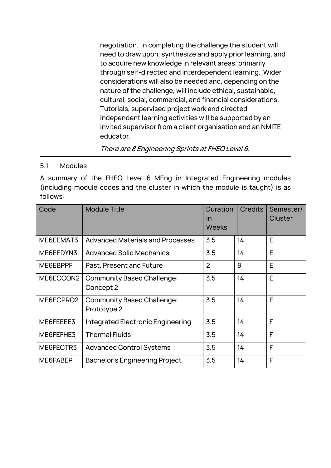|  | negotiation. In completing the challenge the student will   |
|--|-------------------------------------------------------------|
|  | need to draw upon, synthesize and apply prior learning, and |
|  | to acquire new knowledge in relevant areas, primarily       |
|  | through self-directed and interdependent learning. Wider    |
|  | considerations will also be needed and, depending on the    |
|  | nature of the challenge, will include ethical, sustainable, |
|  | cultural, social, commercial, and financial considerations. |
|  | Tutorials, supervised project work and directed             |
|  | independent learning activities will be supported by an     |
|  | invited supervisor from a client organisation and an NMITE  |
|  | educator.                                                   |
|  | There are 8 Engineering Sprints at FHEQ Level 6.            |
|  |                                                             |

# <span id="page-23-0"></span>5.1 Modules

A summary of the FHEQ Level 6 MEng in Integrated Engineering modules (including module codes and the cluster in which the module is taught) is as follows:

| Code      | <b>Module Title</b>                              | Duration<br>in<br><b>Weeks</b> | <b>Credits</b> | Semester/<br><b>Cluster</b> |
|-----------|--------------------------------------------------|--------------------------------|----------------|-----------------------------|
| ME6EEMAT3 | <b>Advanced Materials and Processes</b>          | 3.5                            | 14             | E                           |
| ME6EEDYN3 | <b>Advanced Solid Mechanics</b>                  | 3.5                            | 14             | E                           |
| ME6EBPPF  | Past, Present and Future                         | $\overline{2}$                 | 8              | E                           |
| ME6ECCON2 | <b>Community Based Challenge:</b><br>Concept 2   | 3.5                            | 14             | E                           |
| ME6ECPRO2 | <b>Community Based Challenge:</b><br>Prototype 2 | 3.5                            | 14             | E                           |
| ME6FEEEE3 | Integrated Electronic Engineering                | 3.5                            | 14             | F                           |
| ME6FEFHE3 | <b>Thermal Fluids</b>                            | 3.5                            | 14             | F                           |
| ME6FECTR3 | <b>Advanced Control Systems</b>                  | 3.5                            | 14             | F                           |
| ME6FABEP  | <b>Bachelor's Engineering Project</b>            | 3.5                            | 14             | F                           |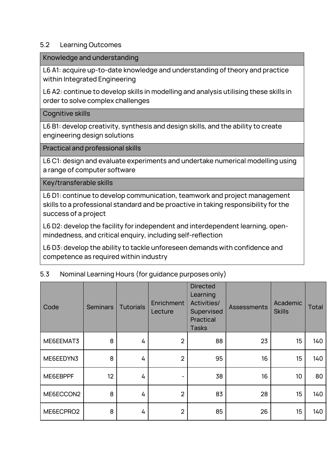#### <span id="page-24-0"></span>5.2 Learning Outcomes

Knowledge and understanding

L6 A1: acquire up-to-date knowledge and understanding of theory and practice within Integrated Engineering

L6 A2: continue to develop skills in modelling and analysis utilising these skills in order to solve complex challenges

#### Cognitive skills

L6 B1: develop creativity, synthesis and design skills, and the ability to create engineering design solutions

Practical and professional skills

L6 C1: design and evaluate experiments and undertake numerical modelling using a range of computer software

Key/transferable skills

L6 D1: continue to develop communication, teamwork and project management skills to a professional standard and be proactive in taking responsibility for the success of a project

L6 D2: develop the facility for independent and interdependent learning, openmindedness, and critical enquiry, including self-reflection

L6 D3: develop the ability to tackle unforeseen demands with confidence and competence as required within industry

#### <span id="page-24-1"></span>5.3 Nominal Learning Hours (for guidance purposes only)

| Code      | <b>Seminars</b> | <b>Tutorials</b> | Enrichment<br>Lecture | <b>Directed</b><br>Learning<br><b>Activities/</b><br>Supervised<br>Practical<br><b>Tasks</b> | <b>Assessments</b> | Academic<br><b>Skills</b> | Total |
|-----------|-----------------|------------------|-----------------------|----------------------------------------------------------------------------------------------|--------------------|---------------------------|-------|
| ME6EEMAT3 | 8               | 4                | $\overline{2}$        | 88                                                                                           | 23                 | 15                        | 140   |
| ME6EEDYN3 | 8               | 4                | $\overline{2}$        | 95                                                                                           | 16                 | 15                        | 140   |
| ME6EBPPF  | 12              | 4                | -                     | 38                                                                                           | 16                 | 10                        | 80    |
| ME6ECCON2 | 8               | 4                | $\overline{2}$        | 83                                                                                           | 28                 | 15                        | 140   |
| ME6ECPRO2 | 8               | 4                | $\overline{2}$        | 85                                                                                           | 26                 | 15                        | 140   |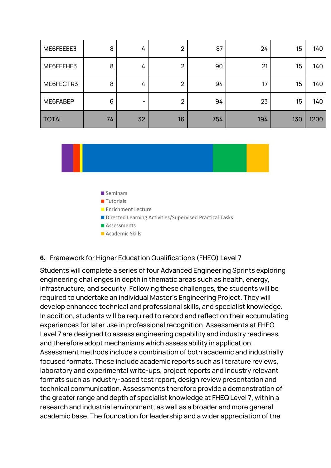| ME6FEEEE3    | 8  | 4  | $\overline{2}$ | 87  | 24  | 15              | 140  |
|--------------|----|----|----------------|-----|-----|-----------------|------|
| ME6FEFHE3    | 8  | 4  | $\overline{2}$ | 90  | 21  | 15 <sub>2</sub> | 140  |
| ME6FECTR3    | 8  | 4  | $\overline{2}$ | 94  | 17  | 15              | 140  |
| ME6FABEP     | 6  |    | $\overline{2}$ | 94  | 23  | 15              | 140  |
| <b>TOTAL</b> | 74 | 32 | 16             | 754 | 194 | 130             | 1200 |



- $\blacksquare$  Seminars
- **Tutorials**
- Enrichment Lecture
- Directed Learning Activities/Supervised Practical Tasks
- Assessments
- Academic Skills

#### <span id="page-25-0"></span>**6.** Framework for Higher Education Qualifications (FHEQ) Level 7

Students will complete a series of four Advanced Engineering Sprints exploring engineering challenges in depth in thematic areas such as health, energy, infrastructure, and security. Following these challenges, the students will be required to undertake an individual Master's Engineering Project. They will develop enhanced technical and professional skills, and specialist knowledge. In addition, students will be required to record and reflect on their accumulating experiences for later use in professional recognition. Assessments at FHEQ Level 7 are designed to assess engineering capability and industry readiness, and therefore adopt mechanisms which assess ability in application. Assessment methods include a combination of both academic and industrially focused formats. These include academic reports such as literature reviews, laboratory and experimental write-ups, project reports and industry relevant formats such as industry-based test report, design review presentation and technical communication. Assessments therefore provide a demonstration of the greater range and depth of specialist knowledge at FHEQ Level 7, within a research and industrial environment, as well as a broader and more general academic base. The foundation for leadership and a wider appreciation of the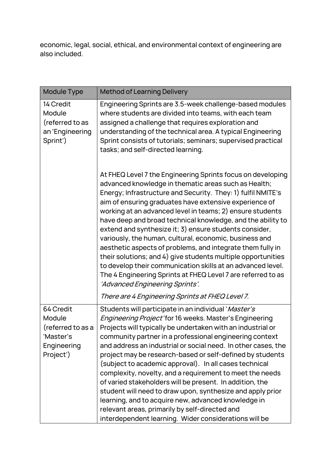economic, legal, social, ethical, and environmental context of engineering are also included.

| Module Type                                                                      | <b>Method of Learning Delivery</b>                                                                                                                                                                                                                                                                                                                                                                                                                                                                                                                                                                                                                                                                                                                                                            |
|----------------------------------------------------------------------------------|-----------------------------------------------------------------------------------------------------------------------------------------------------------------------------------------------------------------------------------------------------------------------------------------------------------------------------------------------------------------------------------------------------------------------------------------------------------------------------------------------------------------------------------------------------------------------------------------------------------------------------------------------------------------------------------------------------------------------------------------------------------------------------------------------|
| 14 Credit<br>Module<br>(referred to as<br>an 'Engineering<br>Sprint')            | Engineering Sprints are 3.5-week challenge-based modules<br>where students are divided into teams, with each team<br>assigned a challenge that requires exploration and<br>understanding of the technical area. A typical Engineering<br>Sprint consists of tutorials; seminars; supervised practical<br>tasks; and self-directed learning.                                                                                                                                                                                                                                                                                                                                                                                                                                                   |
|                                                                                  | At FHEQ Level 7 the Engineering Sprints focus on developing<br>advanced knowledge in thematic areas such as Health;<br>Energy; Infrastructure and Security. They: 1) fulfil NMITE's<br>aim of ensuring graduates have extensive experience of<br>working at an advanced level in teams; 2) ensure students<br>have deep and broad technical knowledge, and the ability to<br>extend and synthesize it; 3) ensure students consider,<br>variously, the human, cultural, economic, business and<br>aesthetic aspects of problems, and integrate them fully in<br>their solutions; and 4) give students multiple opportunities<br>to develop their communication skills at an advanced level.<br>The 4 Engineering Sprints at FHEQ Level 7 are referred to as<br>'Advanced Engineering Sprints'. |
|                                                                                  | There are 4 Engineering Sprints at FHEQ Level 7.                                                                                                                                                                                                                                                                                                                                                                                                                                                                                                                                                                                                                                                                                                                                              |
| 64 Credit<br>Module<br>(referred to as a<br>Master's<br>Engineering<br>Project') | Students will participate in an individual 'Master's<br>Engineering Project'for 16 weeks. Master's Engineering<br>Projects will typically be undertaken with an industrial or<br>community partner in a professional engineering context<br>and address an industrial or social need. In other cases, the<br>project may be research-based or self-defined by students<br>(subject to academic approval). In all cases technical<br>complexity, novelty, and a requirement to meet the needs<br>of varied stakeholders will be present. In addition, the<br>student will need to draw upon, synthesize and apply prior<br>learning, and to acquire new, advanced knowledge in<br>relevant areas, primarily by self-directed and<br>interdependent learning. Wider considerations will be      |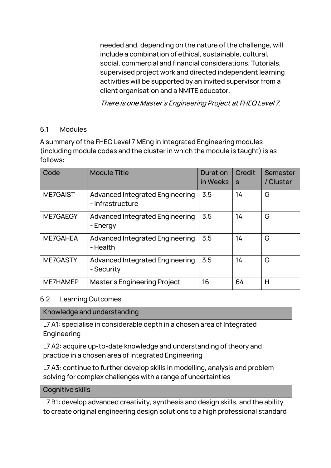| needed and, depending on the nature of the challenge, will   |
|--------------------------------------------------------------|
| include a combination of ethical, sustainable, cultural,     |
| social, commercial and financial considerations. Tutorials,  |
| supervised project work and directed independent learning    |
| activities will be supported by an invited supervisor from a |
| client organisation and a NMITE educator.                    |
| There is one Master's Engineering Project at FHEQ Level 7.   |

#### <span id="page-27-0"></span>6.1 Modules

A summary of the FHEQ Level 7 MEng in Integrated Engineering modules (including module codes and the cluster in which the module is taught) is as follows:

| Code     | <b>Module Title</b>                                        | Duration<br>in Weeks | <b>Credit</b><br>S | Semester<br>/ Cluster |
|----------|------------------------------------------------------------|----------------------|--------------------|-----------------------|
| ME7GAIST | <b>Advanced Integrated Engineering</b><br>- Infrastructure | 3.5                  | 14                 | G                     |
| ME7GAEGY | <b>Advanced Integrated Engineering</b><br>- Energy         | 3.5                  | 14                 | G                     |
| ME7GAHEA | <b>Advanced Integrated Engineering</b><br>- Health         | 3.5                  | 14                 | G                     |
| ME7GASTY | <b>Advanced Integrated Engineering</b><br>- Security       | 3.5                  | 14                 | G                     |
| ME7HAMEP | Master's Engineering Project                               | 16                   | 64                 | H                     |

#### <span id="page-27-1"></span>6.2 Learning Outcomes

# Knowledge and understanding

L7 A1: specialise in considerable depth in a chosen area of Integrated Engineering

L7 A2: acquire up-to-date knowledge and understanding of theory and practice in a chosen area of Integrated Engineering

L7 A3: continue to further develop skills in modelling, analysis and problem solving for complex challenges with a range of uncertainties

#### Cognitive skills

L7 B1: develop advanced creativity, synthesis and design skills, and the ability to create original engineering design solutions to a high professional standard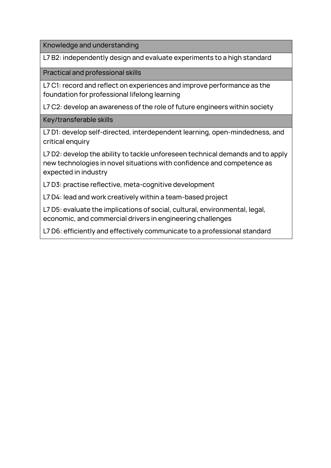Knowledge and understanding

L7 B2: independently design and evaluate experiments to a high standard

Practical and professional skills

L7 C1: record and reflect on experiences and improve performance as the foundation for professional lifelong learning

L7 C2: develop an awareness of the role of future engineers within society

Key/transferable skills

L7 D1: develop self-directed, interdependent learning, open-mindedness, and critical enquiry

L7 D2: develop the ability to tackle unforeseen technical demands and to apply new technologies in novel situations with confidence and competence as expected in industry

L7 D3: practise reflective, meta-cognitive development

L7 D4: lead and work creatively within a team-based project

L7 D5: evaluate the implications of social, cultural, environmental, legal, economic, and commercial drivers in engineering challenges

L7 D6: efficiently and effectively communicate to a professional standard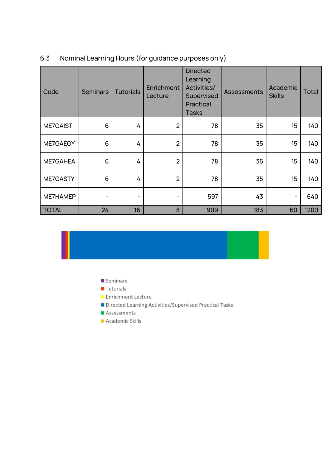| Code         | <b>Seminars</b> | <b>Tutorials</b> | Enrichment<br>Lecture | <b>Directed</b><br>Learning<br><b>Activities/</b><br>Supervised<br><b>Practical</b><br><b>Tasks</b> | <b>Assessments</b> | Academic<br><b>Skills</b> | Total |
|--------------|-----------------|------------------|-----------------------|-----------------------------------------------------------------------------------------------------|--------------------|---------------------------|-------|
| ME7GAIST     | 6               | 4                | $\overline{2}$        | 78                                                                                                  | 35                 | 15                        | 140   |
| ME7GAEGY     | $6\phantom{1}$  | 4                | $\overline{2}$        | 78                                                                                                  | 35                 | 15                        | 140   |
| ME7GAHEA     | 6               | 4                | $\overline{2}$        | 78                                                                                                  | 35                 | 15                        | 140   |
| ME7GASTY     | 6               | 4                | $\overline{2}$        | 78                                                                                                  | 35                 | 15                        | 140   |
| ME7HAMEP     |                 | -                |                       | 597                                                                                                 | 43                 | -                         | 640   |
| <b>TOTAL</b> | 24              | 16               | 8                     | 909                                                                                                 | 183                | 60                        | 1200  |

# <span id="page-29-0"></span>6.3 Nominal Learning Hours (for guidance purposes only)

- Seminars
- **Tutorials**
- Enrichment Lecture
- Directed Learning Activities/Supervised Practical Tasks
- Assessments
- Academic Skills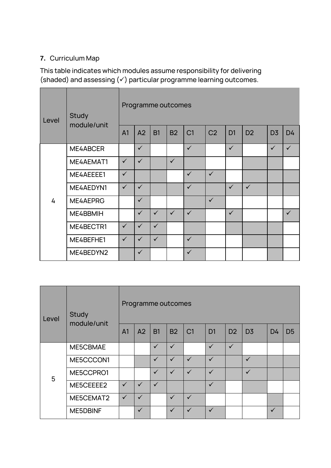# <span id="page-30-0"></span>**7.** Curriculum Map

This table indicates which modules assume responsibility for delivering (shaded) and assessing (✓) particular programme learning outcomes.

| Level | Study<br>module/unit | Programme outcomes |              |              |              |                |                |                |                |                |              |
|-------|----------------------|--------------------|--------------|--------------|--------------|----------------|----------------|----------------|----------------|----------------|--------------|
|       |                      | A <sub>1</sub>     | A2           | <b>B1</b>    | <b>B2</b>    | C <sub>1</sub> | C <sub>2</sub> | D <sub>1</sub> | D <sub>2</sub> | D <sub>3</sub> | D4           |
|       | ME4ABCER             |                    | $\checkmark$ |              |              | $\checkmark$   |                | $\checkmark$   |                | $\checkmark$   | $\checkmark$ |
|       | ME4AEMAT1            | $\checkmark$       | $\checkmark$ |              | $\checkmark$ |                |                |                |                |                |              |
|       | ME4AEEEE1            | $\checkmark$       |              |              |              | $\checkmark$   | $\checkmark$   |                |                |                |              |
|       | ME4AEDYN1            | $\checkmark$       | $\checkmark$ |              |              | $\checkmark$   |                | $\checkmark$   | $\checkmark$   |                |              |
| 4     | ME4AEPRG             |                    | $\checkmark$ |              |              |                | $\checkmark$   |                |                |                |              |
|       | ME4BBMIH             |                    | $\checkmark$ | $\checkmark$ | $\checkmark$ | $\checkmark$   |                | $\checkmark$   |                |                | $\checkmark$ |
|       | ME4BECTR1            | $\checkmark$       | $\checkmark$ | $\checkmark$ |              |                |                |                |                |                |              |
|       | ME4BEFHE1            | $\checkmark$       | $\checkmark$ | $\checkmark$ |              | $\checkmark$   |                |                |                |                |              |
|       | ME4BEDYN2            |                    | $\checkmark$ |              |              | $\checkmark$   |                |                |                |                |              |

| Level | Study<br>module/unit | Programme outcomes |              |              |              |                |                |                |                |    |                |  |  |  |
|-------|----------------------|--------------------|--------------|--------------|--------------|----------------|----------------|----------------|----------------|----|----------------|--|--|--|
|       |                      | A <sub>1</sub>     | A2           | <b>B1</b>    | <b>B2</b>    | C <sub>1</sub> | D <sub>1</sub> | D <sub>2</sub> | D <sub>3</sub> | D4 | D <sub>5</sub> |  |  |  |
| 5     | ME5CBMAE             |                    |              | $\checkmark$ | $\checkmark$ |                | $\checkmark$   | $\checkmark$   |                |    |                |  |  |  |
|       | ME5CCCON1            |                    |              | $\checkmark$ | $\checkmark$ | $\checkmark$   | $\checkmark$   |                | $\checkmark$   |    |                |  |  |  |
|       | ME5CCPRO1            |                    |              | $\checkmark$ | $\checkmark$ | $\checkmark$   | $\checkmark$   |                | $\checkmark$   |    |                |  |  |  |
|       | ME5CEEEE2            | $\checkmark$       | $\checkmark$ | $\checkmark$ |              |                | $\checkmark$   |                |                |    |                |  |  |  |
|       | ME5CEMAT2            | $\checkmark$       | $\checkmark$ |              | $\checkmark$ | $\checkmark$   |                |                |                |    |                |  |  |  |
|       | ME5DBINF             |                    | $\checkmark$ |              | $\checkmark$ |                |                |                |                | ✓  |                |  |  |  |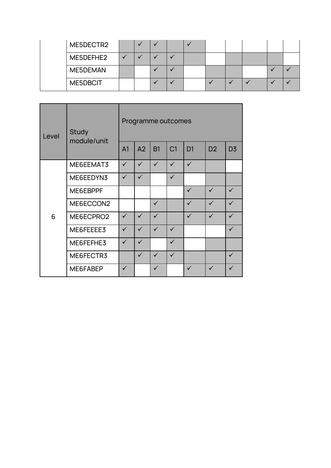|  | ME5DECTR2 |  |  |  |  |  |
|--|-----------|--|--|--|--|--|
|  | ME5DEFHE2 |  |  |  |  |  |
|  | ME5DEMAN  |  |  |  |  |  |
|  | ME5DBCIT  |  |  |  |  |  |

| Level | Study<br>module/unit | Programme outcomes |              |              |                |                |                |                |  |  |  |  |
|-------|----------------------|--------------------|--------------|--------------|----------------|----------------|----------------|----------------|--|--|--|--|
|       |                      | A <sub>1</sub>     | A2           | <b>B1</b>    | C <sub>1</sub> | D <sub>1</sub> | D <sub>2</sub> | D <sub>3</sub> |  |  |  |  |
|       | ME6EEMAT3            | $\checkmark$       | $\checkmark$ | $\checkmark$ | $\checkmark$   | $\checkmark$   |                |                |  |  |  |  |
|       | ME6EEDYN3            | $\checkmark$       | $\checkmark$ |              | $\checkmark$   |                |                |                |  |  |  |  |
|       | ME6EBPPF             |                    |              |              |                | $\checkmark$   | $\checkmark$   | $\checkmark$   |  |  |  |  |
|       | ME6ECCON2            |                    |              | $\checkmark$ |                | $\checkmark$   | $\checkmark$   | $\checkmark$   |  |  |  |  |
| 6     | ME6ECPRO2            | $\checkmark$       | $\checkmark$ | $\checkmark$ |                | $\checkmark$   | $\checkmark$   | $\checkmark$   |  |  |  |  |
|       | ME6FEEEE3            | $\checkmark$       | $\checkmark$ | $\checkmark$ | $\checkmark$   |                |                | $\checkmark$   |  |  |  |  |
|       | ME6FEFHE3            | $\checkmark$       | $\checkmark$ |              | $\checkmark$   |                |                |                |  |  |  |  |
|       | ME6FECTR3            |                    | $\checkmark$ | $\checkmark$ | $\checkmark$   |                |                | $\checkmark$   |  |  |  |  |
|       | ME6FABEP             | $\checkmark$       |              | $\checkmark$ |                | $\checkmark$   | $\checkmark$   | $\checkmark$   |  |  |  |  |